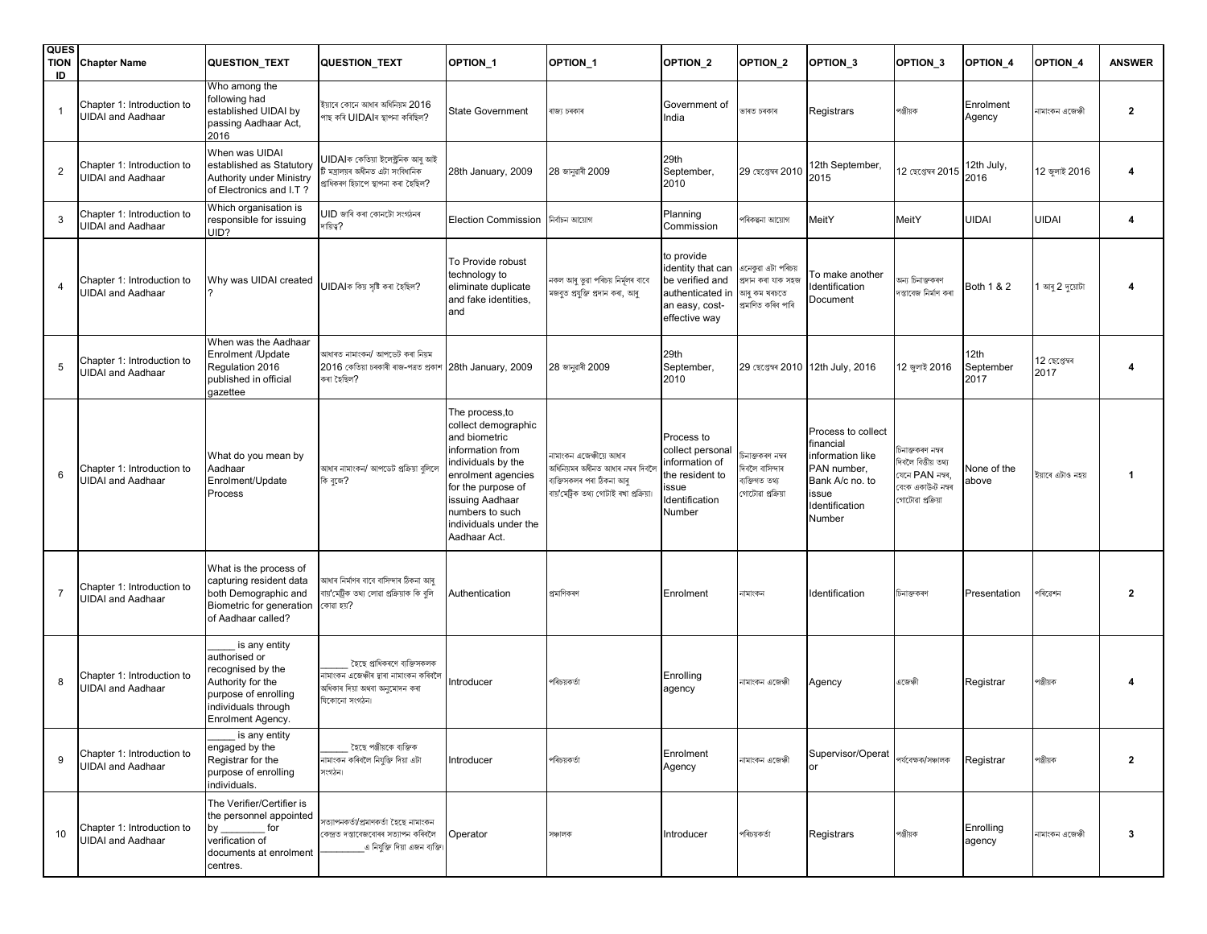| <b>QUES</b><br><b>TION</b><br>ID | <b>Chapter Name</b>                                    | <b>QUESTION_TEXT</b>                                                                                                                                | QUESTION_TEXT                                                                                                           | OPTION_1                                                                                                                                                                                                                    | OPTION <sub>1</sub>                                                                                                                 | OPTION_2                                                                                                  | OPTION <sub>2</sub>                                                            | OPTION <sub>3</sub>                                                                                                        | OPTION <sub>3</sub>                                                                                   | OPTION_4                  | OPTION <sub>4</sub>   | <b>ANSWER</b>    |
|----------------------------------|--------------------------------------------------------|-----------------------------------------------------------------------------------------------------------------------------------------------------|-------------------------------------------------------------------------------------------------------------------------|-----------------------------------------------------------------------------------------------------------------------------------------------------------------------------------------------------------------------------|-------------------------------------------------------------------------------------------------------------------------------------|-----------------------------------------------------------------------------------------------------------|--------------------------------------------------------------------------------|----------------------------------------------------------------------------------------------------------------------------|-------------------------------------------------------------------------------------------------------|---------------------------|-----------------------|------------------|
|                                  | Chapter 1: Introduction to<br><b>UIDAI and Aadhaar</b> | Who among the<br>following had<br>established UIDAI by<br>passing Aadhaar Act,<br>2016                                                              | ইয়াৰে কোনে আধাৰ অধিনিয়ম 2016<br>পাছ কৰি UIDAIৰ স্থাপনা কৰিছিল?                                                        | <b>State Government</b>                                                                                                                                                                                                     | ৰাজ্য চৰকাৰ                                                                                                                         | Government of<br>India                                                                                    | ভাৰত চৰকাৰ                                                                     | Registrars                                                                                                                 | পঞ্জীয়ক                                                                                              | Enrolment<br>Agency       | নামাংকন এজেঞ্চী       | $\overline{2}$   |
| $\overline{2}$                   | Chapter 1: Introduction to<br><b>UIDAI and Aadhaar</b> | When was UIDAI<br>established as Statutory<br>Authority under Ministry<br>of Electronics and I.T?                                                   | UIDAIক কেতিয়া ইলেক্ট্ৰনিক আৰু আই<br>,<br>ইমন্ত্ৰালয়ৰ অধীনত এটা সংবিধানিক<br>প্ৰাধিকৰণ হিচাপে স্থাপনা কৰা হৈছিল?       | 28th January, 2009                                                                                                                                                                                                          | 28 জানুৱাৰী 2009                                                                                                                    | 29th<br>September,<br>2010                                                                                | 29 ছেপ্তেম্বৰ 2010                                                             | 12th September,<br>2015                                                                                                    | 12 ছেপ্তেম্বৰ 2015                                                                                    | 12th July,<br>2016        | 12 জুলাই 2016         |                  |
| 3                                | Chapter 1: Introduction to<br><b>UIDAI and Aadhaar</b> | Which organisation is<br>responsible for issuing<br>UID?                                                                                            | $UID$ জাৰি কৰা কোনটো সংগঠনৰ<br>দায়িত্ব?                                                                                | Election Commission                                                                                                                                                                                                         | নিৰ্বাচন আয়োগ                                                                                                                      | Planning<br>Commission                                                                                    | পৰিকল্পনা আয়োগ                                                                | MeitY                                                                                                                      | MeitY                                                                                                 | <b>UIDAI</b>              | <b>UIDAI</b>          | $\boldsymbol{4}$ |
|                                  | Chapter 1: Introduction to<br><b>UIDAI and Aadhaar</b> | Why was UIDAI created                                                                                                                               | UIDAIক কিয় সৃষ্টি কৰা হৈছিল?                                                                                           | To Provide robust<br>technology to<br>eliminate duplicate<br>and fake identities.<br>and                                                                                                                                    | নকল আৰু ভুৱা পৰিচয় নিৰ্মূলৰ বাবে<br>মজবুত প্ৰযুক্তি প্ৰদান কৰা, আৰু                                                                | to provide<br>identity that can<br>be verified and<br>authenticated in<br>an easy, cost-<br>effective way | এনেকুৱা এটা পৰিচয়<br>প্ৰদান কৰা যাক সহজ<br>আৰু কম খৰচতে<br>প্ৰমাণিত কৰিব পাৰি | To make another<br>Identification<br>Document                                                                              | অন্য চিনাক্তকৰণ<br>দস্তাবেজ নিৰ্মাণ কৰা                                                               | Both 1 & 2                | 1 আৰু 2 দুয়োটা       | 4                |
| 5                                | Chapter 1: Introduction to<br><b>UIDAI and Aadhaar</b> | When was the Aadhaar<br>Enrolment /Update<br>Regulation 2016<br>published in official<br>gazettee                                                   | আধাৰত নামাংকন/ আপডেট কৰা নিয়ম<br>2016 কেতিয়া চৰকাৰী ৰাজ-পত্ৰত প্ৰকাশ<br>কৰা হৈছিল?                                    | 28th January, 2009                                                                                                                                                                                                          | 28 জানুৱাৰী 2009                                                                                                                    | 29th<br>September,<br>2010                                                                                |                                                                                | 29 ছেপ্তেম্বৰ 2010 12th July, 2016                                                                                         | 12 জুলাই 2016                                                                                         | 12th<br>September<br>2017 | 12 ছেপ্তেম্বৰ<br>2017 |                  |
| 6                                | Chapter 1: Introduction to<br><b>UIDAI</b> and Aadhaar | What do you mean by<br>Aadhaar<br>Enrolment/Update<br>Process                                                                                       | আধাৰ নামাংকন/ আপডেট প্ৰক্ৰিয়া বুলিবে<br>কি বুজে?                                                                       | The process,to<br>collect demographic<br>and biometric<br>information from<br>individuals by the<br>enrolment agencies<br>for the purpose of<br>issuing Aadhaar<br>numbers to such<br>individuals under the<br>Aadhaar Act. | নামাংকন এজেঞ্চীয়ে আধাৰ<br>অধিনিয়মৰ অধীনত আধাৰ নম্বৰ দিবলৈ<br>ব্যক্তিসকলৰ পৰা ঠিকনা আৰু<br>বায় মেট্ৰিক তথ্য গোটাই ৰখা প্ৰক্ৰিয়া। | Process to<br>collect personal<br>information of<br>the resident to<br>ssue<br>dentification<br>Number    | চিনাক্তকৰণ নম্বৰ<br>দিবলৈ বাসিন্দাৰ<br>ব্যক্তিগত তথ্য<br>গোটোৱা প্ৰক্ৰিয়া     | Process to collect<br>financial<br>information like<br>PAN number,<br>Bank A/c no. to<br>issue<br>Identification<br>Number | চিনাক্তকৰণ নম্বৰ<br>দিবলৈ বিত্তীয় তথ্য<br>যেনে PAN নম্বৰ,<br>বেংক একাউন্ট নম্বৰ<br>গোটোৱা প্ৰক্ৰিয়া | None of the<br>above      | ইয়াৰে এটাও নহয়      | -1               |
| $\overline{7}$                   | Chapter 1: Introduction to<br><b>UIDAI</b> and Aadhaar | What is the process of<br>capturing resident data<br>both Demographic and<br>Biometric for generation<br>of Aadhaar called?                         | আধাৰ নিৰ্মাণৰ বাবে বাসিন্দাৰ ঠিকনা আৰু<br>বায় সেট্রিক তথ্য লোৱা প্রক্রিয়াক কি বুলি<br>কোৱা হয়?                       | Authentication                                                                                                                                                                                                              | প্ৰমাণিকৰণ                                                                                                                          | Enrolment                                                                                                 | নামাংকন                                                                        | Identification                                                                                                             | চিনাক্তকৰণ                                                                                            | Presentation              | পৰিৱেশন               | $\overline{2}$   |
| 8                                | Chapter 1: Introduction to<br><b>UIDAI</b> and Aadhaar | is any entity<br>authorised or<br>recognised by the<br>Authority for the<br>purpose of enrolling<br>individuals through<br>Enrolment Agency.        | হৈছে প্ৰাধিকৰণে ব্যক্তিসকলক<br>নামাংকন এজেঞ্চীৰ দ্বাৰা নামাংকন কৰিবলৈ<br>অধিকাৰ দিয়া অথবা অনুমোদন কৰা<br>যিকোনো সংগঠন। | Introducer                                                                                                                                                                                                                  | পৰিচয়কৰ্তা                                                                                                                         | Enrolling<br>agency                                                                                       | নামাংকন এজেঞ্চী                                                                | Agency                                                                                                                     | এজেঞ্চী                                                                                               | Registrar                 | পঞ্জীয়ক              |                  |
| 9                                | Chapter 1: Introduction to<br><b>UIDAI</b> and Aadhaar | is any entity<br>engaged by the<br>Registrar for the<br>purpose of enrolling<br>individuals.                                                        | হৈছে পঞ্জীয়কে ব্যক্তিক<br>নামাংকন কৰিবলৈ নিযুক্তি দিয়া এটা<br>সংগঠন।                                                  | Introducer                                                                                                                                                                                                                  | পৰিচয়কৰ্তা                                                                                                                         | Enrolment<br>Agency                                                                                       | নামাংকন এজেঞ্চী                                                                | Supervisor/Operat<br>or                                                                                                    | পৰ্যবেক্ষক/সঞ্চালক                                                                                    | Registrar                 | পঞ্জীয়ক              | $\overline{2}$   |
| 10                               | Chapter 1: Introduction to<br><b>UIDAI</b> and Aadhaar | The Verifier/Certifier is<br>the personnel appointed<br>for<br>by $\overline{\phantom{0}}$<br>verification of<br>documents at enrolment<br>centres. | সত্যাপনকৰ্তা/প্ৰমাণকৰ্তা হৈছে নামাংকন<br>কেন্দ্ৰত দস্তাবেজবোৰৰ সত্যাপন কৰিবলৈ<br>এ নিযুক্তি দিয়া এজন ব্যক্তি।          | Operator                                                                                                                                                                                                                    | সঞ্চালক                                                                                                                             | Introducer                                                                                                | পৰিচয়কৰ্তা                                                                    | Registrars                                                                                                                 | পঞ্জীয়ক                                                                                              | Enrolling<br>agency       | নামাংকন এজেঞ্চী       | -3               |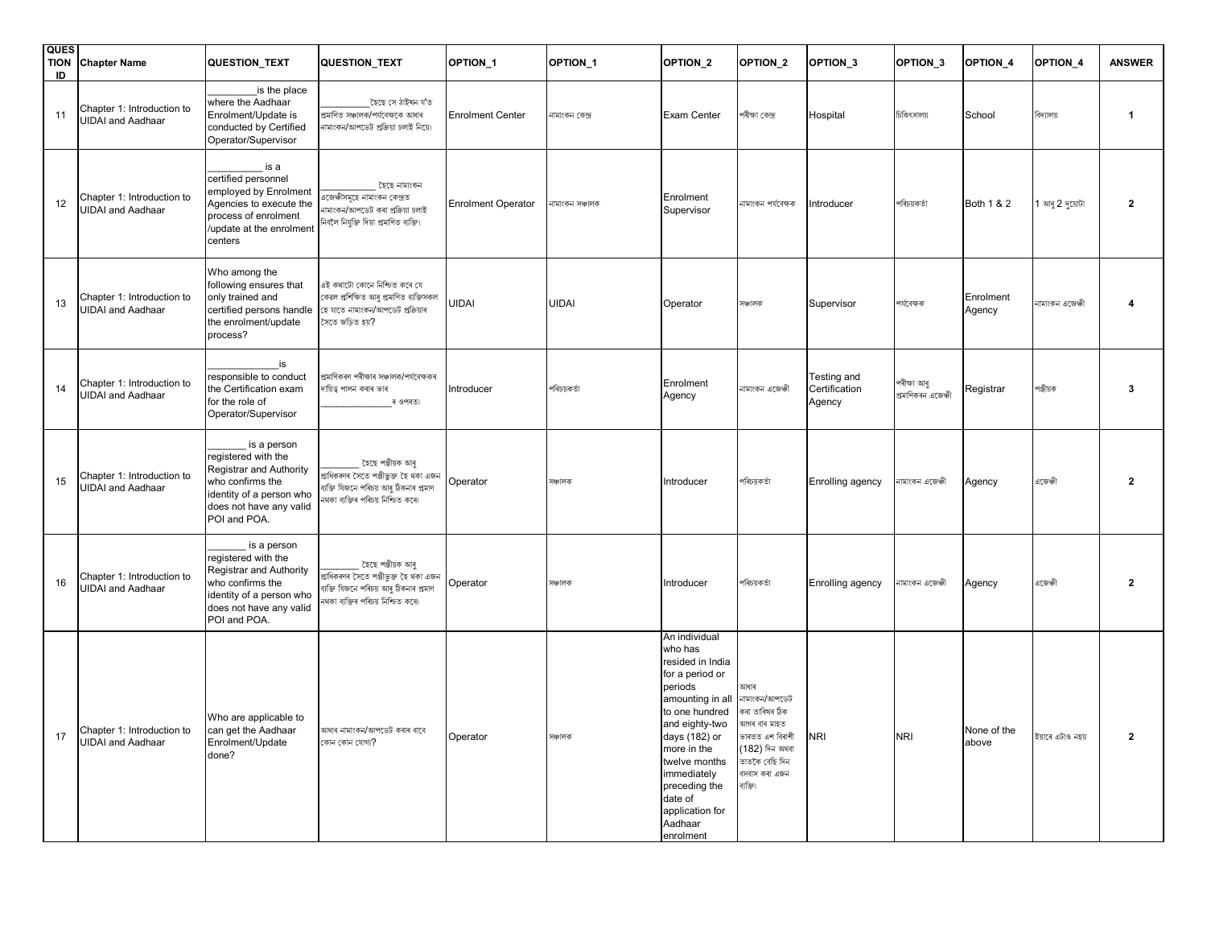| <b>QUES</b><br><b>TION</b><br>ID | <b>Chapter Name</b>                                    | <b>QUESTION_TEXT</b>                                                                                                                                     | QUESTION_TEXT                                                                                                                             | OPTION <sub>1</sub>       | OPTION_1        | <b>OPTION_2</b>                                                                                                                                                                                                                                                           | OPTION_2                                                                                                                                                                 | OPTION <sub>3</sub>                    | OPTION <sub>3</sub>               | OPTION_4             | OPTION <sub>4</sub> | <b>ANSWER</b> |
|----------------------------------|--------------------------------------------------------|----------------------------------------------------------------------------------------------------------------------------------------------------------|-------------------------------------------------------------------------------------------------------------------------------------------|---------------------------|-----------------|---------------------------------------------------------------------------------------------------------------------------------------------------------------------------------------------------------------------------------------------------------------------------|--------------------------------------------------------------------------------------------------------------------------------------------------------------------------|----------------------------------------|-----------------------------------|----------------------|---------------------|---------------|
| 11                               | Chapter 1: Introduction to<br><b>JIDAI</b> and Aadhaar | is the place<br>where the Aadhaar<br>Enrolment/Update is<br>conducted by Certified<br>Operator/Supervisor                                                | হৈছে সে ঠাইখন য'ত<br>প্ৰমাণিত সঞ্চালক/পৰ্যবেক্ষকে আধাৰ<br>নামাংকন/আপডেট প্ৰক্ৰিয়া চলাই নিয়ে।                                            | <b>Enrolment Center</b>   | নামাংকন কেন্দ্ৰ | Exam Center                                                                                                                                                                                                                                                               | পৰীক্ষা কেন্দ্ৰ                                                                                                                                                          | Hospital                               | চিকিৎসালয়                        | School               | বিদ্যালয়           | $\mathbf 1$   |
| 12                               | Chapter 1: Introduction to<br><b>UIDAI and Aadhaar</b> | is a<br>certified personnel<br>employed by Enrolment<br>Agencies to execute the<br>process of enrolment<br>update at the enrolment<br>centers            | হৈছে নামাংকন<br>aজেঞ্চীসমূহে নামাংকন কেন্দ্ৰত<br>নামাংকন/আপডেট কৰা প্ৰক্ৰিয়া চলাই<br>নিবলৈ নিযুক্তি দিয়া প্ৰমাণিত ব্যক্তি।              | <b>Enrolment Operator</b> | নামাংকন সঞ্চালক | Enrolment<br>Supervisor                                                                                                                                                                                                                                                   | নামাংকন পৰ্যবেক্ষক                                                                                                                                                       | Introducer                             | পৰিচয়কৰ্তা                       | Both 1 & 2           | আৰু 2 দুয়োটা       | $\mathbf{2}$  |
| 13                               | Chapter 1: Introduction to<br><b>UIDAI and Aadhaar</b> | Who among the<br>following ensures that<br>only trained and<br>certified persons handle<br>the enrolment/update<br>process?                              | এই কথাটো কোনে নিশ্চিত কৰে যে<br>কেৱল প্ৰশিক্ষিত আৰু প্ৰমাণিত ব্যক্তিসকল<br>হে যাতে নামাংকন/আপডেট প্ৰক্ৰিয়াৰ<br>সৈতে জড়িত হয়?           | <b>UIDAI</b>              | <b>UIDAI</b>    | Operator                                                                                                                                                                                                                                                                  | সঞ্চালক                                                                                                                                                                  | Supervisor                             | পৰ্যবেক্ষক                        | Enrolment<br>Agency  | নামাংকন এজেঞ্চী     | 4             |
| 14                               | Chapter 1: Introduction to<br><b>JIDAI</b> and Aadhaar | is<br>responsible to conduct<br>the Certification exam<br>for the role of<br>Operator/Supervisor                                                         | প্ৰমাণিকৰণ পৰীক্ষাৰ সঞ্চালক/পৰ্যবেক্ষকৰ<br>দায়িত্ব পালন কৰাৰ ভাৰ<br>ৰ ওপৰত।                                                              | Introducer                | পৰিচয়কৰ্তা     | Enrolment<br>Agency                                                                                                                                                                                                                                                       | নামাংকন এজেঞ্চী                                                                                                                                                          | Testing and<br>Certification<br>Agency | পৰীক্ষা আৰু<br>প্ৰমাণিকৰন এজেঞ্চী | Registrar            | পঞ্জীয়ক            | 3             |
| 15                               | Chapter 1: Introduction to<br><b>JIDAI</b> and Aadhaar | is a person<br>registered with the<br>Registrar and Authority<br>who confirms the<br>identity of a person who<br>does not have any valid<br>POI and POA. | হৈছে পঞ্জীয়ক আৰু<br>প্ৰাধিকৰণৰ সৈতে পঞ্জীভুক্ত হৈ থকা এজন<br>ব্যক্তি যিজনে পৰিচয় আৰু ঠিকনাৰ প্ৰমাণ<br>নথকা ব্যক্তিৰ পৰিচয় নিশ্চিত কৰে। | Operator                  | সঞ্চালক         | Introducer                                                                                                                                                                                                                                                                | পৰিচয়কৰ্তা                                                                                                                                                              | Enrolling agency                       | নামাংকন এজেঞ্চী                   | Agency               | এজেঞ্চী             | $\mathbf{2}$  |
| 16                               | Chapter 1: Introduction to<br><b>UIDAI and Aadhaar</b> | is a person<br>registered with the<br>Registrar and Authority<br>who confirms the<br>identity of a person who<br>does not have any valid<br>POI and POA. | হৈছে পঞ্জীয়ক আৰু<br>প্ৰাধিকৰণৰ সৈতে পঞ্জীভুক্ত হৈ থকা এজন<br>ব্যক্তি যিজনে পৰিচয় আৰু ঠিকনাৰ প্ৰমাণ<br>নথকা ব্যক্তিৰ পৰিচয় নিশ্চিত কৰে। | Operator                  | সঞ্চালক         | Introducer                                                                                                                                                                                                                                                                | পৰিচয়কৰ্তা                                                                                                                                                              | Enrolling agency                       | নামাংকন এজেঞ্চী                   | Agency               | এজেঞ্চী             | $\mathbf{2}$  |
| 17                               | Chapter 1: Introduction to<br><b>UIDAI</b> and Aadhaar | Who are applicable to<br>can get the Aadhaar<br>Enrolment/Update<br>done?                                                                                | আধাৰ নামাংকন/আপডেট কৰাৰ বাবে<br>কোন কোন যোগ্য?                                                                                            | Operator                  | সঞ্চালক         | An individual<br>who has<br>resided in India<br>for a period or<br>periods<br>amounting in all<br>to one hundred<br>and eighty-two<br>days (182) or<br>more in the<br>twelve months<br>immediately<br>preceding the<br>date of<br>application for<br>Aadhaar<br>enrolment | আধাৰ<br>নামাংকন/আপডেট<br>কৰা তাৰিখৰ ঠিক<br>আগৰ বাৰ মাহত<br>ভাৰতত এশ বিৰাশী $\overline{\phantom{a}}$ NRI<br>(182) দিন অথবা<br>তাতকৈ বেছি দিন<br>বসবাস কৰা এজন<br>ব্যক্তি। |                                        | <b>NRI</b>                        | None of the<br>above | ইয়াৰে এটাও নহয়    | $\mathbf{2}$  |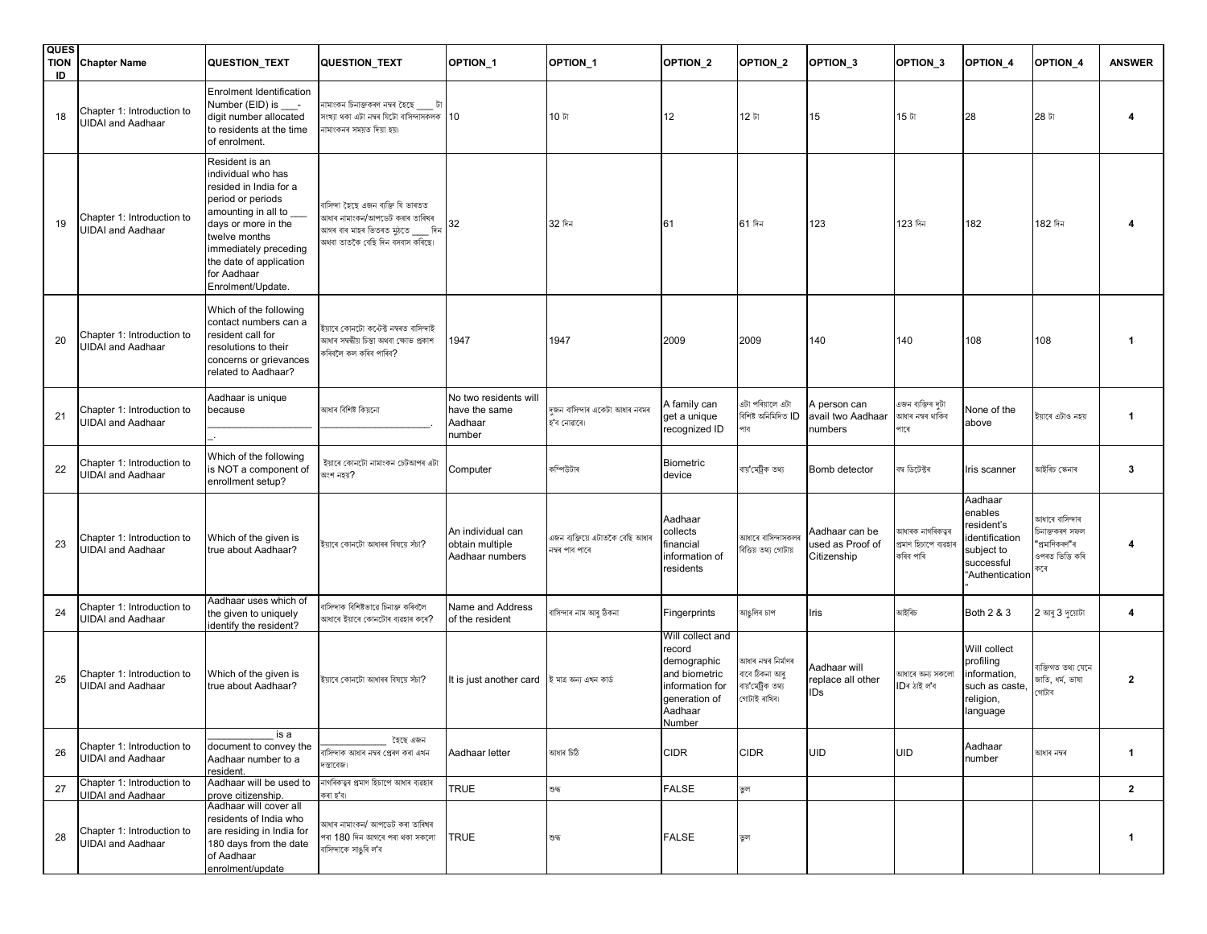| <b>QUES</b><br><b>TION</b><br>ID | <b>Chapter Name</b>                                    | QUESTION_TEXT                                                                                                                                                                                                                              | QUESTION_TEXT                                                                                                                               | OPTION <sub>1</sub>                                         | OPTION_1                                          | OPTION <sub>2</sub>                                                                                                 | OPTION <sub>2</sub>                                                        | OPTION <sub>3</sub>                               | OPTION_3                                               | OPTION_4                                                                                          | OPTION <sub>4</sub>                                                          | <b>ANSWER</b>           |
|----------------------------------|--------------------------------------------------------|--------------------------------------------------------------------------------------------------------------------------------------------------------------------------------------------------------------------------------------------|---------------------------------------------------------------------------------------------------------------------------------------------|-------------------------------------------------------------|---------------------------------------------------|---------------------------------------------------------------------------------------------------------------------|----------------------------------------------------------------------------|---------------------------------------------------|--------------------------------------------------------|---------------------------------------------------------------------------------------------------|------------------------------------------------------------------------------|-------------------------|
| 18                               | Chapter 1: Introduction to<br><b>UIDAI and Aadhaar</b> | Enrolment Identification<br>Number (EID) is ____-<br>digit number allocated<br>to residents at the time<br>of enrolment.                                                                                                                   | নামাংকন চিনাক্তকৰণ নম্বৰ হৈছে টা<br>সংখ্যা থকা এটা নম্বৰ যিটো বাসিন্দাসকলক 10<br>নামাংকনৰ সময়ত দিয়া হয়।                                  |                                                             | 10 টা                                             | 12                                                                                                                  | 12 টা                                                                      | 15                                                | 15 টা                                                  | 28                                                                                                | 28 টা                                                                        |                         |
| 19                               | Chapter 1: Introduction to<br><b>UIDAI and Aadhaar</b> | Resident is an<br>individual who has<br>resided in India for a<br>period or periods<br>amounting in all to<br>days or more in the<br>twelve months<br>immediately preceding<br>the date of application<br>for Aadhaar<br>Enrolment/Update. | বাসিন্দা হৈছে এজন ব্যক্তি যি ভাৰতত<br>আধাৰ নামাংকন/আপডেট কৰাৰ তাৰিখৰ<br>আগৰ বাৰ মাহৰ ভিতৰত মুঠতে<br>দিন<br>অথবা তাতকৈ বেছি দিন বসবাস কৰিছে। | 32                                                          | 32 দিন                                            | 61                                                                                                                  | 61 দিন                                                                     | 123                                               | 123 দিন                                                | 182                                                                                               | 182 দিন                                                                      |                         |
| 20                               | Chapter 1: Introduction to<br><b>UIDAI</b> and Aadhaar | Which of the following<br>contact numbers can a<br>resident call for<br>resolutions to their<br>concerns or grievances<br>related to Aadhaar?                                                                                              | ইয়াৰে কোনটো কন্টেক্ট নম্বৰত বাসিন্দাই<br>আধাৰ সম্বন্ধীয় চিন্তা অথবা ক্ষোভ প্ৰকাশ<br>কৰিবলৈ কল কৰিব পাৰিব?                                 | 1947                                                        | 1947                                              | 2009                                                                                                                | 2009                                                                       | 140                                               | 140                                                    | 108                                                                                               | 108                                                                          | -1                      |
| 21                               | Chapter 1: Introduction to<br><b>UIDAI</b> and Aadhaar | Aadhaar is unique<br>because                                                                                                                                                                                                               | আধাৰ বিশিষ্ট কিয়নো                                                                                                                         | No two residents will<br>have the same<br>Aadhaar<br>number | দজন বাসিন্দাৰ একেটা আধাৰ নবমৰ<br>হ'ব নোৱাৰে৷      | A family can<br>get a unique<br>recognized ID                                                                       | এটা পৰিয়ালে এটা<br>বিশিষ্ট অনিমিদিত <b>ID</b><br>পাব                      | A person can<br>avail two Aadhaar<br>numbers      | এজন ব্যক্তিৰ দটা<br>আধাৰ নম্বৰ থাকিব<br>পাৰে           | None of the<br>above                                                                              | ইয়াৰে এটাও নহয়                                                             | $\mathbf{1}$            |
| 22                               | Chapter 1: Introduction to<br><b>UIDAI and Aadhaar</b> | Which of the following<br>is NOT a component of<br>enrollment setup?                                                                                                                                                                       | ইয়াৰে কোনটো নামাংকন চেটআপৰ এটা<br>অংশ নহয়?                                                                                                | Computer                                                    | কম্পিউটাৰ                                         | <b>Biometric</b><br>device                                                                                          | বায় মেট্ৰিক তথ্য                                                          | Bomb detector                                     | বম্ব ডিটেক্টৰ                                          | Iris scanner                                                                                      | আইৰিচ স্কেনাৰ                                                                | 3                       |
| 23                               | Chapter 1: Introduction to<br><b>UIDAI</b> and Aadhaar | Which of the given is<br>true about Aadhaar?                                                                                                                                                                                               | ইয়াৰে কোনটো আধাৰৰ বিষয়ে সঁচা?                                                                                                             | An individual can<br>obtain multiple<br>Aadhaar numbers     | এজন ব্যক্তিয়ে এটাতকৈ বেছি আধাৰ<br>নম্বৰ পাব পাৰে | Aadhaar<br>collects<br>financial<br>information of<br>residents                                                     | আধাৰে বাসিন্দাসকলৰ<br>বিত্তিয় তথ্য গোটায়                                 | Aadhaar can be<br>used as Proof of<br>Citizenship | আধাৰক নাগৰিকত্বৰ<br>প্ৰমাণ হিচাপে ব্যৱহাৰ<br>কৰিব পাৰি | Aadhaar<br>enables<br>resident's<br>identification<br>subject to<br>successful<br>"Authentication | আধাৰে বাসিন্দাৰ<br>চিনাক্তকৰণ সফল<br>"প্ৰমাণিকৰণ"ৰ<br>ওপৰত ভিত্তি কৰি<br>কৰে | $\boldsymbol{4}$        |
| 24                               | Chapter 1: Introduction to<br><b>UIDAI</b> and Aadhaar | Aadhaar uses which of<br>the given to uniquely<br>identify the resident?                                                                                                                                                                   | বাসিন্দাক বিশিষ্টভাৱে চিনাক্ত কৰিবলৈ<br>আধাৰে ইয়াৰে কোনটোৰ ব্যৱহাৰ কৰে?                                                                    | Name and Address<br>of the resident                         | বাসিন্দাৰ নাম আৰু ঠিকনা                           | Fingerprints                                                                                                        | মাঙলিৰ চাপ                                                                 | Iris                                              | আইৰিচ                                                  | Both 2 & 3                                                                                        | $2$ আৰু $3$ দুয়োটা                                                          | 4                       |
| 25                               | Chapter 1: Introduction to<br><b>UIDAI</b> and Aadhaar | Which of the given is<br>true about Aadhaar?                                                                                                                                                                                               | ইয়াৰে কোনটো আধাৰৰ বিষয়ে সঁচা?                                                                                                             | It is just another card হৈ মাত্ৰ অন্য এখন কাৰ্ড             |                                                   | Will collect and<br>record<br>demographic<br>and biometric<br>information for<br>generation of<br>Aadhaar<br>Number | আধাৰ নম্বৰ নিৰ্মাণৰ<br>বাবে ঠিকনা আৰু<br>বায়'মেট্ৰিক তথ্য<br>গোটাই ৰাখিব৷ | Aadhaar will<br>replace all other<br>IDs          | আধাৰে অন্য সকলো<br>IDৰ ঠাই ল'ব                         | Will collect<br>profiling<br>information,<br>such as caste,<br>religion,<br>language              | ব্যক্তিগত তথ্য যেনে<br>জাতি, ধৰ্ম, ভাষা<br>গোটাব                             | $\overline{\mathbf{2}}$ |
| 26                               | Chapter 1: Introduction to<br><b>UIDAI</b> and Aadhaar | is a<br>document to convey the<br>Aadhaar number to a<br>resident.                                                                                                                                                                         | হৈছে এজন<br>বাসিন্দাক আধাৰ নম্বৰ প্ৰেৰণ কৰা এখন<br>দস্তাবেজ।                                                                                | Aadhaar letter                                              | আধাৰ চিঠি                                         | <b>CIDR</b>                                                                                                         | <b>CIDR</b>                                                                | <b>UID</b>                                        | <b>UID</b>                                             | Aadhaar<br>number                                                                                 | আধাৰ নম্বৰ                                                                   | $\mathbf{1}$            |
| 27                               | Chapter 1: Introduction to<br><b>UIDAI</b> and Aadhaar | Aadhaar will be used to<br>prove citizenship.                                                                                                                                                                                              | নাগৰিকত্বৰ প্ৰমাণ হিচাপে আধাৰ ব্যৱহাৰ<br>কৰা হ'ব।                                                                                           | <b>TRUE</b>                                                 | ভদ                                                | <b>FALSE</b>                                                                                                        | ভুল                                                                        |                                                   |                                                        |                                                                                                   |                                                                              | $\overline{2}$          |
| 28                               | Chapter 1: Introduction to<br><b>UIDAI</b> and Aadhaar | Aadhaar will cover all<br>residents of India who<br>are residing in India for<br>180 days from the date<br>of Aadhaar<br>enrolment/update                                                                                                  | আধাৰ নামাংকন/ আপডেট কৰা তাৰিখৰ<br>পৰা 180 দিন আগৰে পৰা থকা সকলো<br>বাসিন্দাকে সাঙৰি ল'ব                                                     | <b>TRUE</b>                                                 | তৰ                                                | <b>FALSE</b>                                                                                                        | ভুল                                                                        |                                                   |                                                        |                                                                                                   |                                                                              | $\mathbf{1}$            |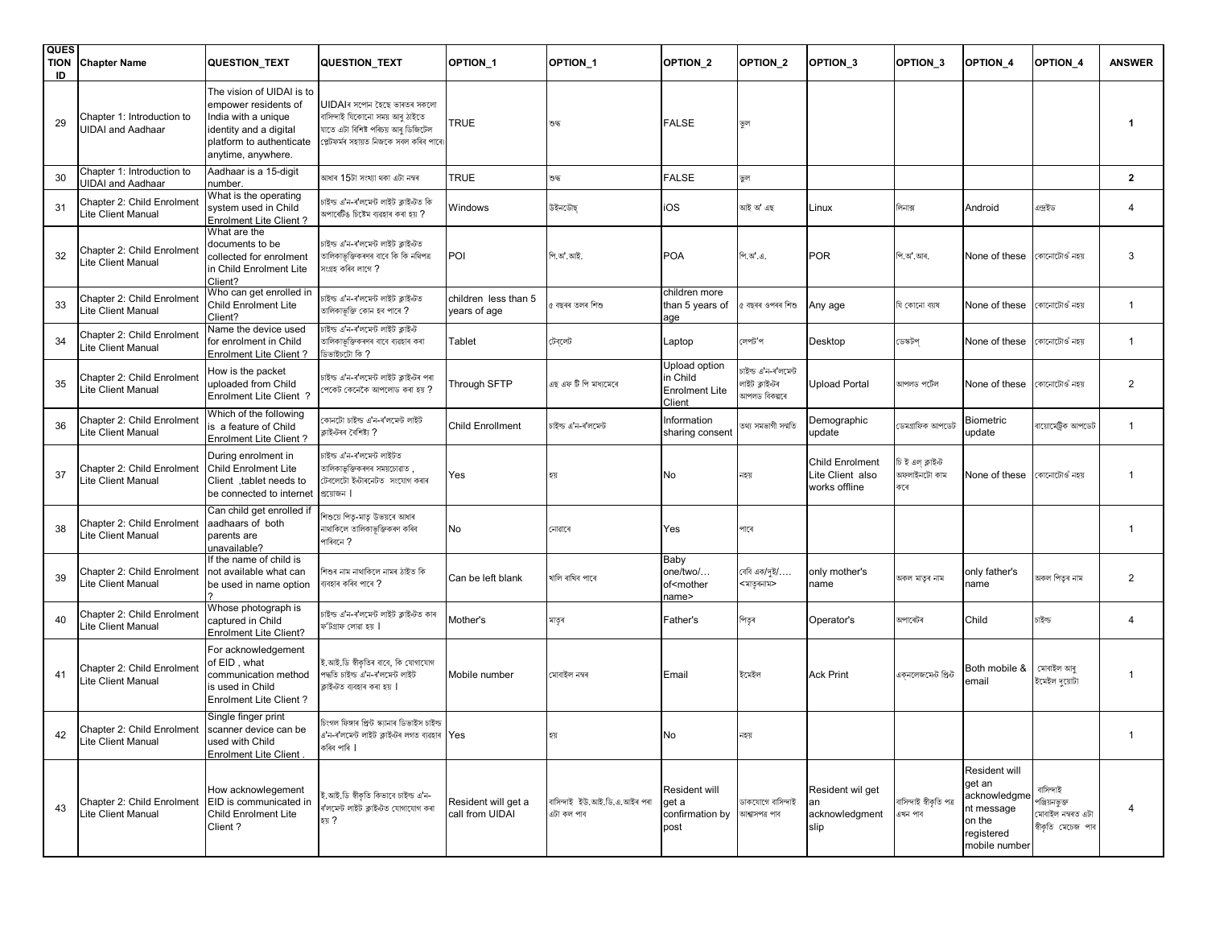| <b>QUES</b><br><b>TION</b><br>ID | <b>Chapter Name</b>                                     | QUESTION_TEXT                                                                                                                                        | <b>QUESTION_TEXT</b>                                                                                                                            | OPTION <sub>1</sub>                    | OPTION_1                                   | OPTION_2                                                     | OPTION <sub>2</sub>                                     | OPTION <sub>3</sub>                                         | OPTION <sub>3</sub>                     | OPTION_4                                                                                       | OPTION <sub>4</sub>                                                   | <b>ANSWER</b>           |
|----------------------------------|---------------------------------------------------------|------------------------------------------------------------------------------------------------------------------------------------------------------|-------------------------------------------------------------------------------------------------------------------------------------------------|----------------------------------------|--------------------------------------------|--------------------------------------------------------------|---------------------------------------------------------|-------------------------------------------------------------|-----------------------------------------|------------------------------------------------------------------------------------------------|-----------------------------------------------------------------------|-------------------------|
| 29                               | Chapter 1: Introduction to<br><b>UIDAI and Aadhaar</b>  | The vision of UIDAI is to<br>empower residents of<br>India with a unique<br>identity and a digital<br>platform to authenticate<br>anytime, anywhere. | UIDAIৰ সপোন হৈছে ভাৰতৰ সকলো<br>বাসিন্দাই যিকোনো সময় আৰু ঠাইতে<br>যাতে এটা বিশিষ্ট পৰিচয় আৰু ডিজিটেল<br>প্লেটফৰ্মৰ সহায়ত নিজকে সবল কৰিব পাৰে। | <b>TRUE</b>                            | ভদ্ধ                                       | <b>FALSE</b>                                                 | ভুল                                                     |                                                             |                                         |                                                                                                |                                                                       | $\mathbf 1$             |
| 30                               | Chapter 1: Introduction to<br><b>JIDAI</b> and Aadhaar  | Aadhaar is a 15-digit<br>number.                                                                                                                     | আধাৰ 15টা সংখ্যা থকা এটা নম্বৰ                                                                                                                  | <b>TRUE</b>                            | ভদ্ধ                                       | <b>FALSE</b>                                                 | ভুল                                                     |                                                             |                                         |                                                                                                |                                                                       | $\overline{2}$          |
| 31                               | Chapter 2: Child Enrolmen<br>Lite Client Manual         | What is the operating<br>system used in Child<br>Enrolment Lite Client?                                                                              | চাইল্ড এ'ন-ৰ'লমেন্ট লাইট ক্লাইণ্টত কি<br>মপাৰেটিঙ চিষ্টেম ব্যৱহাৰ কৰা হয় ?                                                                     | Windows                                | উইনডৌছ                                     | iOS                                                          | আই অ' এছ                                                | Linux                                                       | লিনাক্স                                 | Android                                                                                        | এন্দ্ৰইড                                                              | $\overline{4}$          |
| 32                               | Chapter 2: Child Enrolment<br>Lite Client Manual        | What are the<br>documents to be<br>collected for enrolment<br>in Child Enrolment Lite<br>Client?                                                     | চাইল্ড এ'ন-ৰ'লমেন্ট লাইট ক্লাইণ্টত<br>তালিকাভক্তিকৰণৰ বাবে কি কি নথিপত্ৰ<br>সংগ্ৰহ কৰিব লাগে ?                                                  | POI                                    | পি.অ'.আই.                                  | <b>POA</b>                                                   | পি.অ.এ.                                                 | <b>POR</b>                                                  | পি.অ' আৰ.                               | None of these                                                                                  | কোনোটোওঁ নহয়                                                         | 3                       |
| 33                               | Chapter 2: Child Enrolment<br>Lite Client Manual        | Who can get enrolled in<br><b>Child Enrolment Lite</b><br>Client?                                                                                    | চাইল্ড এ'ন-ৰ'লমেন্ট লাইট ক্লাইণ্টত<br>তালিকাভূক্তি কোন হব পাৰে ?                                                                                | children less than 5<br>years of age   | <sub>?</sub> বছৰৰ তলৰ শিশু                 | children more<br>than 5 years of<br>age                      | বছৰৰ ওপৰৰ শিশু                                          | Any age                                                     | যি কোনো বয়ষ                            | None of these                                                                                  | কোনোটোওঁ নহয়                                                         | $\overline{1}$          |
| 34                               | <b>Chapter 2: Child Enrolment</b><br>Lite Client Manual | Name the device used<br>for enrolment in Child<br>Enrolment Lite Client?                                                                             | ,<br>চক্ত এ'ন-ৰ'লমেন্ট লাইট ক্লাইন্ট<br>তালিকাভুক্তিকৰণৰ বাবে ব্যৱহাৰ কৰা<br>? কী ত্যিবৰ্ষাভৰ                                                   | Tablet                                 | টেবলেট                                     | Laptop                                                       | লেপট'প                                                  | Desktop                                                     | ডেস্কটপ                                 | None of these                                                                                  | কোনোটোওঁ নহয়                                                         | $\overline{1}$          |
| 35                               | <b>Chapter 2: Child Enrolment</b><br>Lite Client Manual | How is the packet<br>uploaded from Child<br>Enrolment Lite Client ?                                                                                  | চাইন্ড এ'ন-ৰ'লমেন্ট লাইট ক্লাইন্টৰ পৰা<br>পকেট কেনেকৈ আপলোড কৰা হয় ?                                                                           | Through SFTP                           | এছ এফ টি পি মাধ্যমেৰে                      | Upload option<br>in Child<br><b>Enrolment Lite</b><br>Client | চাইল্ড এ'ন-ৰ'লমেন্ট<br>লাইট ক্লাইন্টৰ<br>মাপলড বিকল্পৰে | <b>Upload Portal</b>                                        | আপলড পৰ্টেল                             | None of these                                                                                  | কোনোটোওঁ নহয়                                                         | $\overline{2}$          |
| 36                               | Chapter 2: Child Enrolment<br>Lite Client Manual        | Which of the following<br>is a feature of Child<br>Enrolment Lite Client?                                                                            | কানটো চাইল্ড এ'ন-ৰ'লমেন্ট লাইট<br>ক্লাইন্টৰৰ বৈশিষ্ট্য ?                                                                                        | <b>Child Enrollment</b>                | চাইল্ড এ'ন-ৰ'লমেন্ট                        | Information<br>sharing consent                               | তথ্য সমভাগী সন্মতি                                      | Demographic<br>update                                       | ডেমগ্ৰাফিক আপডেট                        | Biometric<br>update                                                                            | বায়োমেট্রিক আপডেট                                                    | $\overline{1}$          |
| 37                               | Chapter 2: Child Enrolment<br>Lite Client Manual        | During enrolment in<br><b>Child Enrolment Lite</b><br>Client, tablet needs to<br>be connected to internet                                            | চাইল্ড এ'ন-ৰ'লমেন্ট লাইটত<br>তালিকাভুক্তিকৰণৰ সময়চোৱাত ,<br>টেবলেটো ইন্টাৰনেটত সংযোগ কৰাৰ<br>প্রয়োজন                                          | Yes                                    | হয়                                        | No                                                           | নহয়                                                    | <b>Child Enrolment</b><br>Lite Client also<br>works offline | চি ই এল ক্লাইন্ট<br>অফলাইনটো কাম<br>কৰে | None of these                                                                                  | কোনোটোওঁ নহয়                                                         | -1                      |
| 38                               | Chapter 2: Child Enrolment<br>Lite Client Manual        | Can child get enrolled if<br>aadhaars of both<br>parents are<br>unavailable?                                                                         | শশুয়ে পিতৃ-মাতৃ উভয়ৰে আধাৰ<br>নাথাকিলে তালিকাভূক্তিকৰণ কৰিব<br>পাৰিবনে ?                                                                      | No                                     | নোৱাৰে                                     | Yes                                                          | পাৰে                                                    |                                                             |                                         |                                                                                                |                                                                       | -1                      |
| 39                               | Chapter 2: Child Enrolment<br>Lite Client Manual        | If the name of child is<br>not available what can<br>be used in name option                                                                          | শিশুৰ নাম নাথাকিলে নামৰ ঠাইত কি<br>ব্যবহাৰ কৰিব পাৰে ?                                                                                          | Can be left blank                      | খালি ৰাখিব পাৰে                            | Baby<br>one/two/<br>of <mother<br>name&gt;</mother<br>       | বেবি এক/দৃই/….<br><মাতৃৰনাম>                            | only mother's<br>name                                       | অকল মাতৃৰ নাম                           | only father's<br>name                                                                          | অকল পিতৃৰ নাম                                                         | $\overline{2}$          |
| 40                               | Chapter 2: Child Enrolment<br>Lite Client Manual        | Whose photograph is<br>captured in Child<br><b>Enrolment Lite Client?</b>                                                                            | চাইল্ড এ'ন-ৰ'লমেন্ট লাইট ক্লাইণ্টত কাৰ<br>ফ'টগ্ৰাফ লোৱা হয়                                                                                     | Mother's                               | মাতৃৰ                                      | Father's                                                     | পিতৃৰ                                                   | Operator's                                                  | অপাৰেটৰ                                 | Child                                                                                          | চাইন্ড                                                                | $\overline{4}$          |
| 41                               | Chapter 2: Child Enrolment<br>Lite Client Manual        | For acknowledgement<br>of EID, what<br>communication method<br>is used in Child<br>Enrolment Lite Client?                                            | ই.আই.ডি স্বীকতিৰ বাবে. কি যোগাযোগ<br>পদ্ধতি চাইল্ড এ'ন-ৰ'লমেন্ট লাইট<br>ক্লাইন্টত ব্যবহাৰ কৰা হয়                                               | Mobile number                          | মোবাইল নম্বৰ                               | Email                                                        | ইমেইল                                                   | <b>Ack Print</b>                                            | একনলেজমেন্ট প্ৰিন্ট                     | Both mobile &<br>email                                                                         | মোবাইল আৰু<br>ইমেইল দুয়োটা                                           | $\overline{\mathbf{1}}$ |
|                                  | Chapter 2: Child Enrolment<br>Lite Client Manual        | Single finger print<br>scanner device can be<br>used with Child<br><b>Enrolment Lite Client</b>                                                      | চিংগল ফিঙ্গাৰ প্ৰিন্ট স্ক্যানাৰ ডিভাইস চাইল্ড<br>এ'ন-ৰ'লমেন্ট লাইট ক্লাইন্টৰ লগত ব্যৱহাৰ Yes<br>কৰিব পাৰি                                       |                                        | হয়                                        | No                                                           | নহয়                                                    |                                                             |                                         |                                                                                                |                                                                       | $\overline{1}$          |
| 43                               | Chapter 2: Child Enrolment<br>Lite Client Manual        | How acknowlegement<br>EID is communicated in<br><b>Child Enrolment Lite</b><br>Client?                                                               | ই.আই.ডি স্বীকতি কিভাবে চাইল্ড এ'ন-<br>ৰ'লমেন্ট লাইট ক্লাইন্টত যোগাযোগ কৰা<br>হয় ?                                                              | Resident will get a<br>call from UIDAI | বাসিন্দাই ইউ.আই.ডি.এ.আইৰ পৰা<br>এটা কল পাব | Resident will<br>get a<br>confirmation by<br>post            | ডাকযোগে বাসিন্দাই<br>আশ্বাসপত্ৰ পাব                     | Resident wil get<br>acknowledgment<br>slip                  | বাসিন্দাই স্বীকৃতি পত্ৰ<br>এখন পাব      | Resident will<br>get an<br>acknowledgme<br>nt message<br>on the<br>registered<br>mobile number | বাসিন্দাই<br>পঞ্জিয়নভুক্ত<br>মোবাইল নম্বৰত এটা<br>স্বীকৃতি মেচেজ পাব | $\overline{a}$          |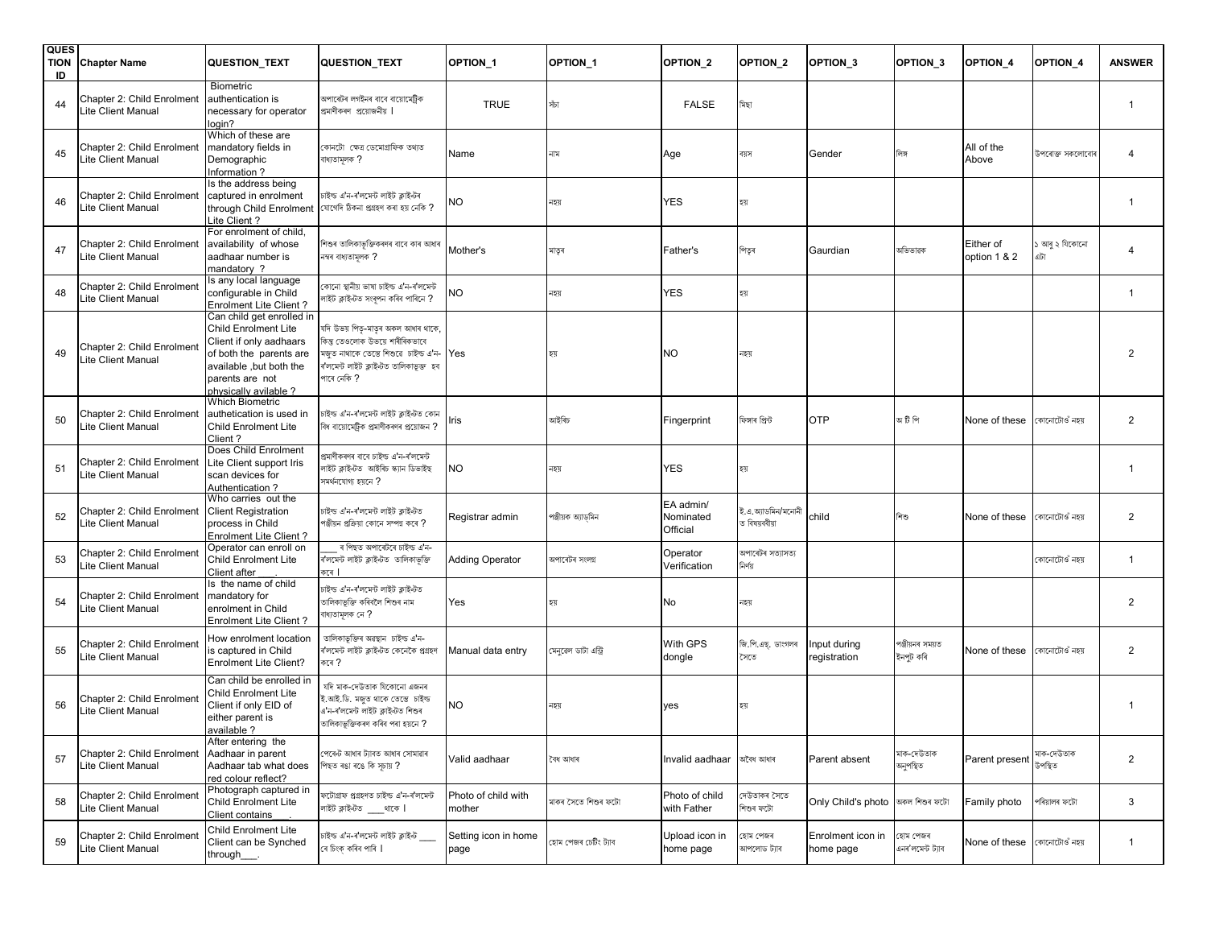| <b>QUES</b><br><b>TION</b><br>ID | <b>Chapter Name</b>                                     | QUESTION_TEXT                                                                                                                                                                        | <b>QUESTION_TEXT</b>                                                                                                                                                               | OPTION <sub>1</sub>           | OPTION <sub>1</sub>  | OPTION_2                           | OPTION <sub>2</sub>              | OPTION <sub>3</sub>              | OPTION <sub>3</sub>          | OPTION_4                    | OPTION <sub>4</sub>   | <b>ANSWER</b>           |
|----------------------------------|---------------------------------------------------------|--------------------------------------------------------------------------------------------------------------------------------------------------------------------------------------|------------------------------------------------------------------------------------------------------------------------------------------------------------------------------------|-------------------------------|----------------------|------------------------------------|----------------------------------|----------------------------------|------------------------------|-----------------------------|-----------------------|-------------------------|
| 44                               | Chapter 2: Child Enrolment<br>Lite Client Manual        | <b>Biometric</b><br>authentication is<br>necessary for operator<br>login?                                                                                                            | অপাৰেটৰ লগইনৰ বাবে বায়োমেট্ৰিক<br>প্ৰমাণীকৰণ প্ৰয়োজনীয়                                                                                                                          | <b>TRUE</b>                   | সঁচা                 | <b>FALSE</b>                       | মিছা                             |                                  |                              |                             |                       | $\overline{\mathbf{1}}$ |
| 45                               | Chapter 2: Child Enrolment<br>Lite Client Manual        | Which of these are<br>mandatory fields in<br>Demographic<br>Information?                                                                                                             | কোনটো ক্ষেত্ৰ ডেমোগ্ৰাফিক তথ্যত<br>বাধ্যতামূলক ?                                                                                                                                   | Name                          | নাম                  | Age                                | বয়স                             | Gender                           | লিঙ্গ                        | All of the<br>Above         | উপৰোক্ত সকলোবোৰ       |                         |
| 46                               | Chapter 2: Child Enrolment<br>Lite Client Manual        | Is the address being<br>captured in enrolment<br>through Child Enrolment<br>Lite Client?                                                                                             | চাইল্ড এ'ন-ৰ'লমেন্ট লাইট ক্লাইন্টৰ<br>যোগেদি ঠিকনা প্ৰগ্ৰহণ কৰা হয় নেকি ?                                                                                                         | <b>NO</b>                     | নহয়                 | YES                                | হয়                              |                                  |                              |                             |                       |                         |
| 47                               | Chapter 2: Child Enrolment<br>Lite Client Manual        | For enrolment of child,<br>availability of whose<br>aadhaar number is<br>mandatory ?                                                                                                 | শিশুৰ তালিকাভুক্তিকৰণৰ বাবে কাৰ আধাৰ<br>নম্বৰ বাধ্যতামূলক ?                                                                                                                        | Mother's                      | মাতৃৰ                | Father's                           | পিতৃৰ                            | Gaurdian                         | অভিভাৱক                      | Either of<br>option 1 & 2   | ১ আৰু ২ যিকোনো<br>এটা | $\overline{4}$          |
| 48                               | <b>Chapter 2: Child Enrolment</b><br>Lite Client Manual | Is any local language<br>configurable in Child<br><b>Enrolment Lite Client?</b>                                                                                                      | কোনো স্থানীয় ভাষা চাইল্ড এ'ন-ৰ'লমেন্ট<br>গাইট ক্লাইন্টত সংৰূপন কৰিব পাৰিনে <b>?</b>                                                                                               | <b>NO</b>                     | নহয়                 | YES                                | হয়                              |                                  |                              |                             |                       | $\overline{1}$          |
| 49                               | Chapter 2: Child Enrolment<br>Lite Client Manual        | Can child get enrolled in<br><b>Child Enrolment Lite</b><br>Client if only aadhaars<br>of both the parents are<br>available, but both the<br>parents are not<br>physically avilable? | যদি উভয় পিতৃ-মাতৃৰ অকল আধাৰ থাকে,<br>কিন্তু তেওলোক উভয়ে শাৰীৰিকভাবে<br>মজত নাথাকে তেন্তে শিশুৱে  চাইল্ড এ'ন- $\sf{Yes}$<br>ৰ'লমেন্ট লাইট ক্লাইন্টত তালিকাভূক্ত হব<br>পাৰে নেকি ? |                               | হয়                  | <b>NO</b>                          | নহয়                             |                                  |                              |                             |                       | $\overline{2}$          |
| 50                               | Chapter 2: Child Enrolment<br>Lite Client Manual        | <b>Which Biometric</b><br>authetication is used in<br><b>Child Enrolment Lite</b><br>Client?                                                                                         | চাইল্ড এ'ন-ৰ'লমেন্ট লাইট ক্লাইণ্টত কোন<br>বিধ বায়োমেট্ৰিক প্ৰমাণীকৰণৰ প্ৰয়োজন ?                                                                                                  | Iris                          | আইৰিচ                | Fingerprint                        | ফিঙ্গাৰ প্ৰিন্ট                  | <b>OTP</b>                       | অ টি পি                      | None of these               | কোনোটোওঁ নহয়         | $\overline{2}$          |
| 51                               | Chapter 2: Child Enrolment<br>Lite Client Manual        | Does Child Enrolment<br>Lite Client support Iris<br>scan devices for<br>Authentication?                                                                                              | প্ৰমাণীকৰণৰ বাবে চাইল্ড এ'ন-ৰ'লমেন্ট<br>লাইট ক্লাইণ্টত আইৰিচ স্ক্যান ডিভাইছ<br>সমর্থনযোগ্য হয়নে ?                                                                                 | <b>NO</b>                     | নহয়                 | YES                                | হয়                              |                                  |                              |                             |                       | $\overline{\mathbf{1}}$ |
| 52                               | Chapter 2: Child Enrolment<br>Lite Client Manual        | Who carries out the<br><b>Client Registration</b><br>process in Child<br>Enrolment Lite Client?                                                                                      | চাইল্ড এ'ন-ৰ'লমেন্ট লাইট ক্লাইণ্টত<br>পঞ্জীয়ন প্ৰক্ৰিয়া কোনে সম্পন্ন কৰে ?                                                                                                       | Registrar admin               | পঞ্জীয়ক অ্যাডমিন    | EA admin/<br>Nominated<br>Official | ই.এ.আডমিন/মনোনী<br>ত বিষয়ববীয়া | child                            | শিশু                         | None of these কোনোটোওঁ নহয় |                       | $\overline{2}$          |
| 53                               | Chapter 2: Child Enrolment<br>Lite Client Manual        | Operator can enroll on<br><b>Child Enrolment Lite</b><br>Client after                                                                                                                | ৰ পিছত অপাৰেটৰে চাইল্ড এ'ন-<br>ৰ'লমেন্ট লাইট ক্লাইন্টত তালিকাভুক্তি<br>কৰে                                                                                                         | <b>Adding Operator</b>        | অপাৰেটৰ সংলগ্ন       | Operator<br>Verification           | অপাৰেটৰ সত্যাসত্য<br>নিৰ্ণয়     |                                  |                              |                             | কোনোটোওঁ নহয়         | $\overline{\mathbf{1}}$ |
| 54                               | Chapter 2: Child Enrolment<br>Lite Client Manual        | Is the name of child<br>mandatory for<br>enrolment in Child<br>Enrolment Lite Client?                                                                                                | চাইল্ড এ'ন-ৰ'লমেন্ট লাইট ক্লাইন্টত<br>তালিকাভূক্তি কৰিবলৈ শিশুৰ নাম<br>বাধ্যতামূলক নে ?                                                                                            | Yes                           | হয়                  | No                                 | নহয়                             |                                  |                              |                             |                       | $\overline{2}$          |
| 55                               | Chapter 2: Child Enrolment<br>Lite Client Manual        | How enrolment location<br>is captured in Child<br><b>Enrolment Lite Client?</b>                                                                                                      | তালিকাভুক্তিৰ অৱস্থান চাইল্ড এ'ন-<br>ৰ'লমেন্ট লাইট ক্লাইন্টত কেনেকৈ প্ৰগ্ৰহণ<br>কৰে ?                                                                                              | Manual data entry             | মেনুৱেল ডাটা এন্ট্ৰি | With GPS<br>dongle                 | জি.পি.এছ. ডাংগলৰ<br>সৈতে         | Input during<br>registration     | পঞ্জীয়নৰ সময়ত<br>ইনপুট কৰি | None of these               | কোনোটোওঁ নহয়         | $\overline{2}$          |
| 56                               | Chapter 2: Child Enrolmen<br>Lite Client Manual         | Can child be enrolled in<br><b>Child Enrolment Lite</b><br>Client if only EID of<br>either parent is<br>available?                                                                   | যদি মাক-দেউতাক যিকোনো এজনৰ<br>ই.আই.ডি. মজত থাকে তেন্তে চাইল্ড<br>এ'ন-ৰ'লমেন্ট লাইট ক্লাইন্টত শিশুৰ<br>তালিকাভুক্তিকৰণ কৰিব পৰা হয়নে ?                                             | <b>NO</b>                     | নহয়                 | yes                                | হয়                              |                                  |                              |                             |                       | $\overline{1}$          |
| 57                               | Chapter 2: Child Enrolment<br>Lite Client Manual        | After entering the<br>Aadhaar in parent<br>Aadhaar tab what does<br>red colour reflect?                                                                                              | পেৰেন্ট আধাৰ ট্যাবত আধাৰ সোমাৱাৰ<br>পিছত ৰঙা ৰঙে কি সচায় ?                                                                                                                        | Valid aadhaar                 | বৈধ আধাৰ             | Invalid aadhaar                    | অবৈধ আধাৰ                        | Parent absent                    | মাক-দেউতাক<br>অনুপস্থিত      | Parent present              | মাক-দেউতাক<br>উপস্থিত | $\overline{2}$          |
| 58                               | Chapter 2: Child Enrolment<br>Lite Client Manual        | Photograph captured in<br><b>Child Enrolment Lite</b><br>Client contains                                                                                                             | ফটোগ্ৰাফ প্ৰগ্ৰহণত চাইল্ড এ'ন-ৰ'লমেন্ট<br>লাইট ক্লাইণ্টত থাকে                                                                                                                      | Photo of child with<br>mother | মাকৰ সৈতে শিশুৰ ফটো  | Photo of child<br>with Father      | দেউতাকৰ সৈতে<br>শিশুৰ ফটো        | Only Child's photo অকল শিশুৰ ফটো |                              | Family photo                | পৰিয়ালৰ ফটো          | $\mathbf{3}$            |
| 59                               | Chapter 2: Child Enrolmen<br>Lite Client Manual         | Child Enrolment Lite<br>Client can be Synched<br>through____.                                                                                                                        | চাইল্ড এ'ন-ৰ'লমেন্ট লাইট ক্লাইণ্ট ___<br>ৰে চিংক কৰিব পাৰি                                                                                                                         | Setting icon in home<br>page  | হোম পেজৰ চেটিং ট্যাব | Upload icon in<br>home page        | হোম পেজৰ<br>আপলোড ট্যাব          | Enrolment icon in<br>home page   | হোম পেজৰ<br>এনৰ'লমেন্ট ট্যাব | None of these কোনোটোওঁ নহয় |                       | $\overline{1}$          |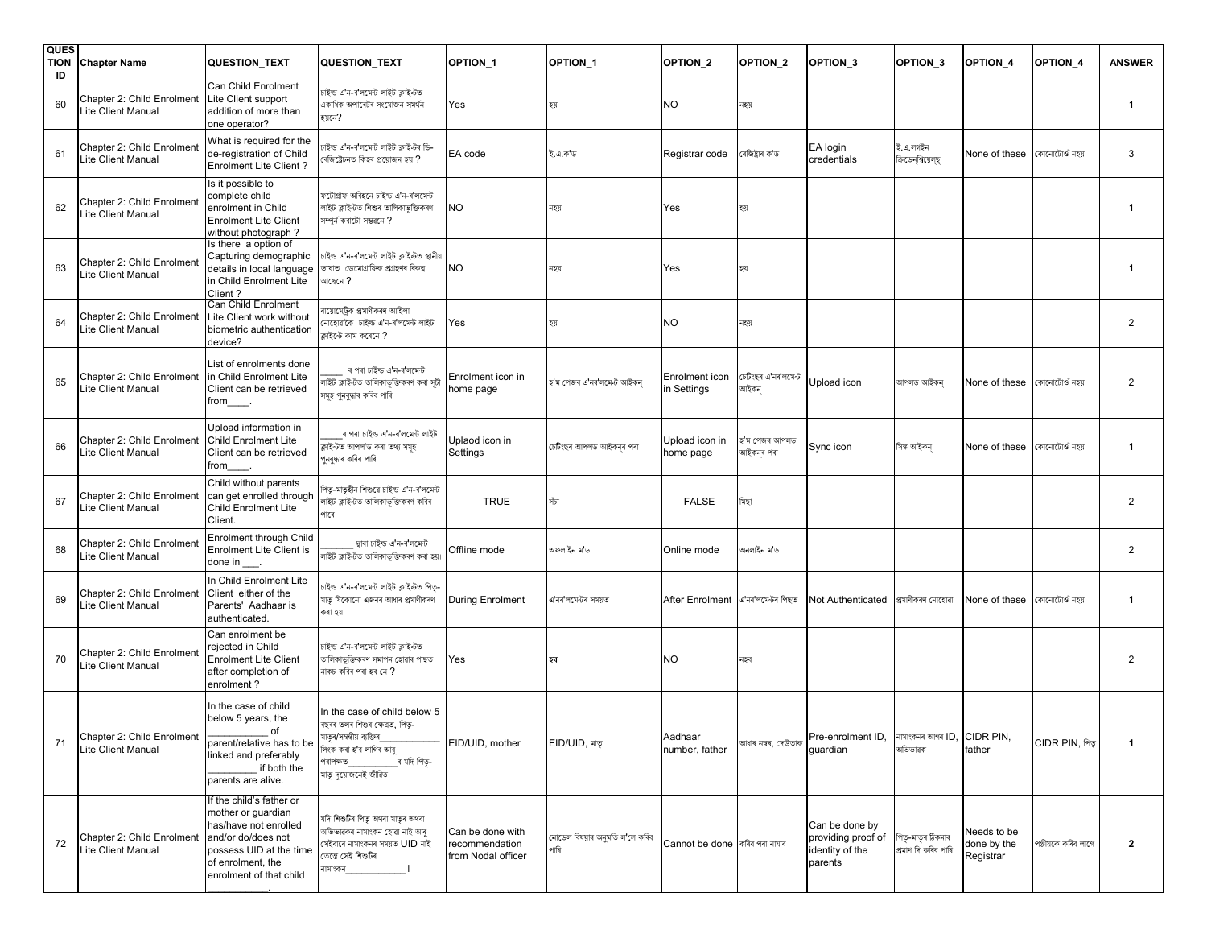| <b>QUES</b><br><b>TION</b><br>ID | <b>Chapter Name</b>                                     | <b>QUESTION_TEXT</b>                                                                                                                                                     | <b>QUESTION_TEXT</b>                                                                                                                                                                      | OPTION_1                                                 | OPTION_1                               | OPTION_2                            | OPTION <sub>2</sub>         | OPTION <sub>3</sub>                                                | OPTION <sub>3</sub>                      | OPTION_4                                | OPTION <sub>4</sub> | <b>ANSWER</b>  |
|----------------------------------|---------------------------------------------------------|--------------------------------------------------------------------------------------------------------------------------------------------------------------------------|-------------------------------------------------------------------------------------------------------------------------------------------------------------------------------------------|----------------------------------------------------------|----------------------------------------|-------------------------------------|-----------------------------|--------------------------------------------------------------------|------------------------------------------|-----------------------------------------|---------------------|----------------|
| 60                               | Chapter 2: Child Enrolment<br>Lite Client Manual        | Can Child Enrolment<br>Lite Client support<br>addition of more than<br>one operator?                                                                                     | চাইন্ড এ'ন-ৰ'লমেন্ট লাইট ক্লাইণ্টত<br>একাধিক অপাৰেটৰ সংযোজন সমৰ্থন<br>য়েনে?                                                                                                              | Yes                                                      | হয়                                    | NΟ                                  | নহয়                        |                                                                    |                                          |                                         |                     | $\mathbf{1}$   |
| 61                               | Chapter 2: Child Enrolment<br>Lite Client Manual        | What is required for the<br>de-registration of Child<br><b>Enrolment Lite Client?</b>                                                                                    | নইল্ড এ'ন-ৰ'লমেন্ট লাইট ক্লাইন্টৰ ডি-<br>ৰজিষ্ট্ৰেচনত কিহৰ প্ৰয়োজন হয় ?                                                                                                                 | EA code                                                  | ইএকড                                   | Registrar code                      | ৰেজিষ্ট্ৰাৰ ক'ড             | EA login<br>credentials                                            | ই.এ.লগইন<br>ক্রিডেনশ্বিয়েলছ             | None of these                           | কোনোটোওঁ নহয়       | 3              |
| 62                               | Chapter 2: Child Enrolment<br>Lite Client Manual        | Is it possible to<br>complete child<br>enrolment in Child<br><b>Enrolment Lite Client</b><br>without photograph?                                                         | দটোগ্ৰাফ অবিহনে চাইল্ড এ'ন-ৰ'লমেন্ট<br>লাইট ক্লাইন্টত শিশুৰ তালিকাভুক্তিকৰণ<br>ন্পৰ্ন কৰাটো সম্ভৱনে ?                                                                                     | <b>NO</b>                                                | নহয়                                   | Yes                                 | হয়                         |                                                                    |                                          |                                         |                     | -1             |
| 63                               | Chapter 2: Child Enrolmen<br>Lite Client Manual         | Is there a option of<br>Capturing demographic<br>details in local language<br>in Child Enrolment Lite<br>Client?                                                         | চাইল্ড এ'ন-ৰ'লমেন্ট লাইট ক্লাইন্টত স্থানীয়<br>ভাষাত ডেমোগ্ৰাফিক প্ৰগ্ৰহণৰ বিকল্প<br>মাছেনে ?                                                                                             | <b>NO</b>                                                | নহয়                                   | Yes                                 | হয়                         |                                                                    |                                          |                                         |                     | $\mathbf{1}$   |
| 64                               | Chapter 2: Child Enrolment<br>Lite Client Manual        | Can Child Enrolment<br>Lite Client work without<br>biometric authentication<br>device?                                                                                   | ায়োমেট্ৰিক প্ৰমাণীকৰণ আহিলা<br>নাহোৱাকৈ চাইল্ড এ'ন-ৰ'লমেন্ট লাইট<br>কাইন্টে কাম কৰেনে ?                                                                                                  | Yes                                                      | হয়                                    | <b>NO</b>                           | নহয়                        |                                                                    |                                          |                                         |                     | $\overline{2}$ |
| 65                               | Chapter 2: Child Enrolment<br>Lite Client Manual        | List of enrolments done<br>in Child Enrolment Lite<br>Client can be retrieved<br>from_____.                                                                              | ৰ পৰা চাইল্ড এ'ন-ৰ'লমেন্ট<br>গইট ক্লাইণ্টত তালিকাভুক্তিকৰণ কৰা স <mark>ৃ</mark> চী<br>নমূহ পুনৰুদ্ধাৰ কৰিব পাৰি                                                                           | Enrolment icon in<br>home page                           | হ'ম পেজৰ এ'নৰ'লমেন্ট আইকন              | Enrolment icon<br>n Settings        | চেটিংছৰ এ'নৰ'লমেন্ট<br>আইকন | Upload icon                                                        | আপলড আইকন                                | None of these                           | কোনোটোওঁ নহয়       | $\overline{2}$ |
| 66                               | <b>Chapter 2: Child Enrolment</b><br>Lite Client Manual | Upload information in<br>Child Enrolment Lite<br>Client can be retrieved<br>from_                                                                                        | ৰ পৰা চাইল্ড এ'ন-ৰ'লমেন্ট লাইট<br>কাইন্টত আপল'ড কৰা তথ্য সমূহ<br>পুনৰুদ্ধাৰ কৰিব পাৰি                                                                                                     | Uplaod icon in<br>Settings                               | চেটিংছৰ আপলড আইকনৰ পৰা                 | Upload icon in<br>nome page         | হ'ম পেজৰ আপলড<br>আইকনৰ পৰা  | Sync icon                                                          | সিঙ্ক আইকন                               | None of these                           | কোনোটোওঁ নহয়       | -1             |
| 67                               | Chapter 2: Child Enrolment<br>Lite Client Manual        | Child without parents<br>can get enrolled through<br><b>Child Enrolment Lite</b><br>Client.                                                                              | পত-মাতৃহীন শিশুৱে চাইল্ড এ'ন-ৰ'লমেন্ট<br>লাইট ক্লাইন্টত তালিকাভুক্তিকৰণ কৰিব<br>পাৰে                                                                                                      | <b>TRUE</b>                                              | সঁচা                                   | <b>FALSE</b>                        | মিছা                        |                                                                    |                                          |                                         |                     | $\overline{2}$ |
| 68                               | Chapter 2: Child Enrolmen<br>Lite Client Manual         | Enrolment through Child<br><b>Enrolment Lite Client is</b><br>done in                                                                                                    | দ্বাৰা চাইল্ড এ'ন-ৰ'লমেন্ট<br>গাইট ক্লাইণ্টত তালিকাভূক্তিকৰণ কৰা হয়।                                                                                                                     | Offline mode                                             | অফলাইন ম'ড                             | Online mode                         | অনলাইন ম'ড                  |                                                                    |                                          |                                         |                     | $\overline{2}$ |
| 69                               | Chapter 2: Child Enrolment<br>Lite Client Manual        | In Child Enrolment Lite<br>Client either of the<br>Parents' Aadhaar is<br>authenticated.                                                                                 | চাইল্ড এ'ন-ৰ'লমেন্ট লাইট ক্লাইণ্টত পিতৃ-<br>নাতৃ যিকোনো এজনৰ আধাৰ প্ৰমাণীকৰণ<br>কৰা হয়।                                                                                                  | <b>During Enrolment</b>                                  | এ'নৰ'লমেন্টৰ সময়ত                     | After Enrolment   এ'নৰ'লমেন্টৰ পিছত |                             | Not Authenticated                                                  | প্ৰমাণীকৰণ নোহোৱা                        | None of these কোনোটোওঁ নহয়             |                     | -1             |
| 70                               | Chapter 2: Child Enrolmen<br>Lite Client Manual         | Can enrolment be<br>rejected in Child<br><b>Enrolment Lite Client</b><br>after completion of<br>enrolment?                                                               | চাইন্ড এ'ন-ৰ'লমেন্ট লাইট ক্লাইণ্টত<br>তালিকাভক্তিকৰণ সমাপন হোৱাৰ পাছত<br>নাকচ কৰিব পৰা হব নে ?                                                                                            | Yes                                                      | হৰ                                     | NΟ                                  | নহৰ                         |                                                                    |                                          |                                         |                     | $\overline{2}$ |
| 71                               | Chapter 2: Child Enrolment<br>Lite Client Manual        | In the case of child<br>below 5 years, the<br>of<br>parent/relative has to be<br>linked and preferably<br>if both the<br>parents are alive.                              | In the case of child below 5<br>বছৰৰ তলৰ শিশুৰ ক্ষেত্ৰত, পিতৃ-<br>মাতৃৰ/সম্বন্ধীয় ব্যক্তিৰ<br>লিংক কৰা হ'ব লাগিব আৰু<br>ৰ যদি পিতৃ-<br>পৰাপক্ষত<br><sub>।</sub><br>মাতৃ দুয়োজনেই জীৱিত। | EID/UID, mother                                          | EID/UID, মাতৃ                          | Aadhaar<br>number, father           | আধাৰ নম্বৰ, দেউতাক          | Pre-enrolment ID.<br>guardian                                      | নামাংকনৰ আগৰ ID, CIDR PIN,<br>অভিভাৱক    | father                                  | CIDR PIN, পিতৃ      | $\mathbf{1}$   |
| 72                               | Chapter 2: Child Enrolment<br>Lite Client Manual        | If the child's father or<br>mother or quardian<br>has/have not enrolled<br>and/or do/does not<br>possess UID at the time<br>of enrolment, the<br>enrolment of that child | যদি শিশুটিৰ পিতৃ অথবা মাতৃৰ অথবা<br>অভিভাৱকৰ নামাংকন হোৱা নাই আৰু<br>সেইবাবে নামাংকনৰ সময়ত <b>UID</b> নাই<br>তেন্তে সেই শিশুটিৰ<br>নামাংকন                                               | Can be done with<br>recommendation<br>from Nodal officer | নোডেল বিষয়াৰ অনুমতি ল'লে কৰিব<br>পাৰি | Cannot be done   কৰিব পৰা নাযাব     |                             | Can be done by<br>providing proof of<br>identity of the<br>parents | পিতৃ-মাতৃৰ ঠিকনাৰ<br>প্ৰমাণ দি কৰিব পাৰি | Needs to be<br>done by the<br>Registrar | পঞ্জীয়কে কৰিব লাগে | $\overline{2}$ |